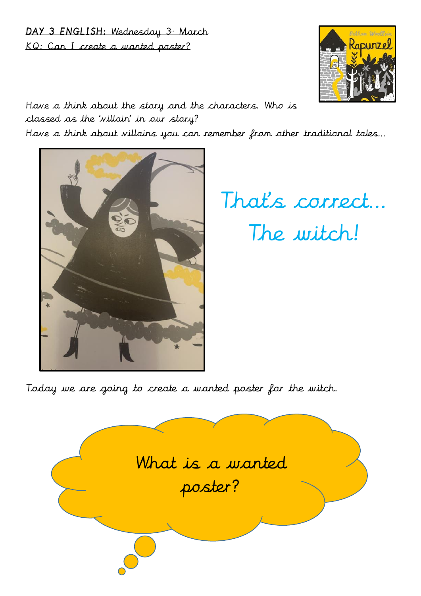## DAY 3 ENGLISH: Wednesday 3<sup>a</sup> March KQ: Can I create a wanted poster?



Have a think about the story and the characters. Who is classed as the 'villain' in our story?

Have a think about villains you can remember from other traditional tales…



That's correct… The witch!

Today we are going to create a wanted poster for the witch.

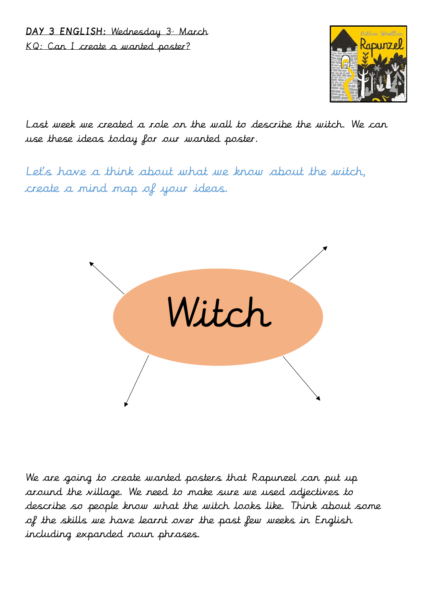DAY 3 ENGLISH: Wednesday 3<sup>a</sup> March KQ: Can I create a wanted poster?



Last week we created a role on the wall to describe the witch. We can use these ideas today for our wanted poster.

Let's have a think about what we know about the witch, create a mind map of your ideas.



We are going to create wanted posters that Rapunzel can put up around the village. We need to make sure we used adjectives to describe so people know what the witch looks like. Think about some of the skills we have learnt over the past few weeks in English including expanded noun phrases.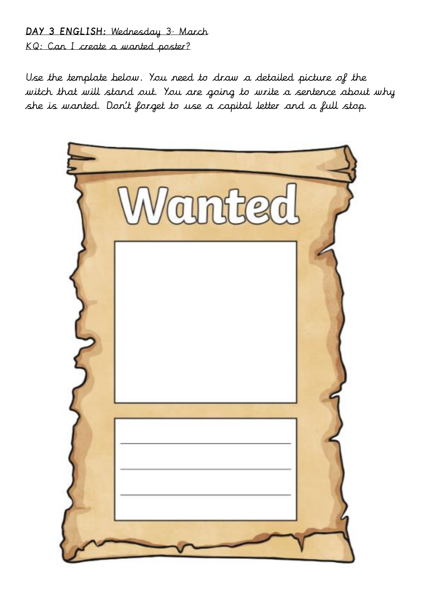## DAY 3 ENGLISH: Wednesday 3- March KQ: Can I create a wanted poster?

Use the template below. You need to draw a detailed picture of the witch that will stand out. You are going to write a sentence about why she is wanted. Don't forget to use a capital letter and a full stop.